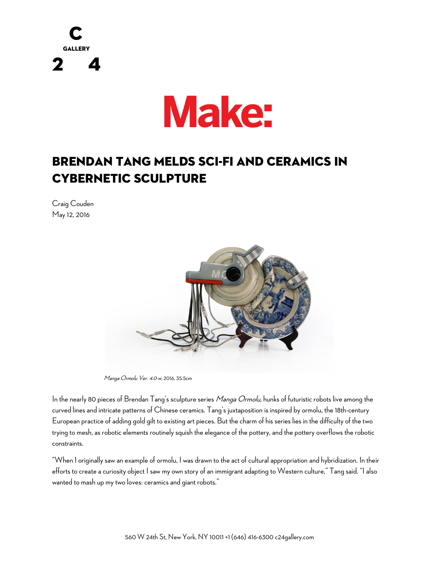



## Brendan Tang Melds Sci-Fi and Ceramics in Cybernetic Sculpture

Craig Couden May 12, 2016



Manga Ormolu Ver. 4.0-w, 2016, 35.5cm

In the nearly 80 pieces of Brendan Tang's sculpture series Manga Ormolu, hunks of futuristic robots live among the curved lines and intricate patterns of Chinese ceramics. Tang's juxtaposition is inspired by ormolu, the 18th-century European practice of adding gold gilt to existing art pieces. But the charm of his series lies in the difficulty of the two trying to mesh, as robotic elements routinely squish the elegance of the pottery, and the pottery overflows the robotic constraints.

"When I originally saw an example of ormolu, I was drawn to the act of cultural appropriation and hybridization. In their efforts to create a curiosity object I saw my ownstory of an immigrant adapting to Western culture," Tang said. "I also wanted to mash up my two loves: ceramics and giant robots."